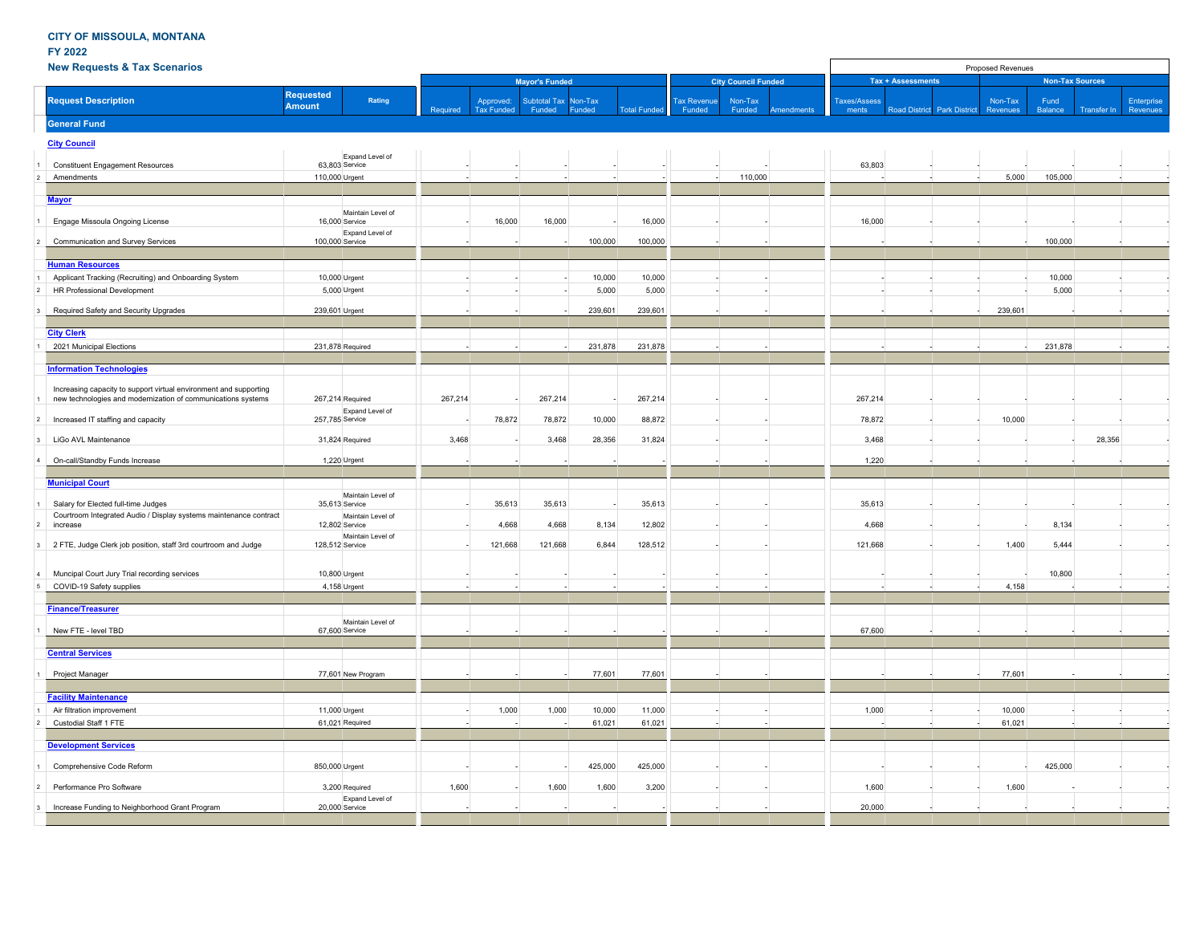**FY 2022**

## **New Requests & Tax Scenarios**

| <b>New Requests &amp; Tax Scenarios</b>                                                                                           |                                             |          |                                |                               |                   |                    |                              | Proposed Revenues               |                       |                      |                      |                        |                 |                                  |  |  |  |  |
|-----------------------------------------------------------------------------------------------------------------------------------|---------------------------------------------|----------|--------------------------------|-------------------------------|-------------------|--------------------|------------------------------|---------------------------------|-----------------------|----------------------|----------------------|------------------------|-----------------|----------------------------------|--|--|--|--|
|                                                                                                                                   |                                             |          | <b>Mayor's Funded</b>          |                               |                   |                    | <b>City Council Funded</b>   |                                 | Tax + Assessments     |                      |                      | <b>Non-Tax Sources</b> |                 | Enterprise<br>Revenues<br>28,356 |  |  |  |  |
| <b>Request Description</b>                                                                                                        | <b>Requested</b><br>Rating<br><b>Amount</b> | Required | Approved:<br><b>Tax Funded</b> | <b>Subtotal Tax</b><br>Funded | Non-Tax<br>Funded | <b>Total Funde</b> | <b>Tax Revenue</b><br>Funded | Non-Tax<br>Funded<br>Amendment: | Taxes/Assess<br>ments | <b>Road District</b> | <b>Park District</b> | Non-Tax<br>Revenues    | Fund<br>Balance | Transfer In                      |  |  |  |  |
| <b>General Fund</b>                                                                                                               |                                             |          |                                |                               |                   |                    |                              |                                 |                       |                      |                      |                        |                 |                                  |  |  |  |  |
| <b>City Council</b>                                                                                                               |                                             |          |                                |                               |                   |                    |                              |                                 |                       |                      |                      |                        |                 |                                  |  |  |  |  |
| <b>Constituent Engagement Resources</b>                                                                                           | Expand Level of<br>63,803 Service           |          |                                |                               |                   |                    |                              |                                 | 63,803                |                      |                      |                        |                 |                                  |  |  |  |  |
| Amendments                                                                                                                        | 110,000 Urgent                              |          |                                |                               |                   |                    |                              | 110,000                         |                       |                      |                      | 5.000                  | 105,000         |                                  |  |  |  |  |
|                                                                                                                                   |                                             |          |                                |                               |                   |                    |                              |                                 |                       |                      |                      |                        |                 |                                  |  |  |  |  |
| <b>Mayor</b>                                                                                                                      |                                             |          |                                |                               |                   |                    |                              |                                 |                       |                      |                      |                        |                 |                                  |  |  |  |  |
| Engage Missoula Ongoing License                                                                                                   | Maintain Level of<br>16,000 Service         |          | 16,000                         | 16,000                        |                   | 16,000             |                              |                                 | 16,000                |                      |                      |                        |                 |                                  |  |  |  |  |
| Communication and Survey Services                                                                                                 | Expand Level of<br>100,000 Service          |          |                                |                               | 100,000           | 100,000            |                              |                                 |                       |                      |                      |                        | 100,000         |                                  |  |  |  |  |
| <b>Human Resources</b>                                                                                                            |                                             |          |                                |                               |                   |                    |                              |                                 |                       |                      |                      |                        |                 |                                  |  |  |  |  |
| Applicant Tracking (Recruiting) and Onboarding System                                                                             | 10,000 Urgent                               |          |                                |                               | 10,000            | 10,000             | $\sim$                       |                                 |                       |                      |                      |                        | 10,000          |                                  |  |  |  |  |
| HR Professional Development                                                                                                       | 5,000 Urgent                                |          |                                |                               | 5,000             | 5,000              |                              |                                 |                       |                      |                      |                        | 5,000           |                                  |  |  |  |  |
| Required Safety and Security Upgrades                                                                                             | 239,601 Urgent                              |          |                                |                               | 239,601           | 239,601            |                              |                                 |                       |                      |                      | 239,601                |                 |                                  |  |  |  |  |
| <b>City Clerk</b>                                                                                                                 |                                             |          |                                |                               |                   |                    |                              |                                 |                       |                      |                      |                        |                 |                                  |  |  |  |  |
| 2021 Municipal Elections                                                                                                          | 231,878 Required                            |          |                                |                               | 231,878           | 231,878            |                              |                                 |                       |                      |                      |                        | 231,878         |                                  |  |  |  |  |
|                                                                                                                                   |                                             |          |                                |                               |                   |                    |                              |                                 |                       |                      |                      |                        |                 |                                  |  |  |  |  |
| <b>Information Technologies</b>                                                                                                   |                                             |          |                                |                               |                   |                    |                              |                                 |                       |                      |                      |                        |                 |                                  |  |  |  |  |
| Increasing capacity to support virtual environment and supporting<br>new technologies and modernization of communications systems | 267,214 Required                            | 267,214  |                                | 267,214                       |                   | 267,214            |                              |                                 | 267,214               |                      |                      |                        |                 |                                  |  |  |  |  |
|                                                                                                                                   | Expand Level of                             |          |                                |                               |                   |                    |                              |                                 |                       |                      |                      |                        |                 |                                  |  |  |  |  |
| Increased IT staffing and capacity                                                                                                | 257,785 Service                             |          | 78,872                         | 78,872                        | 10,000            | 88,872             |                              |                                 | 78,872                |                      |                      | 10,000                 |                 |                                  |  |  |  |  |
| LiGo AVL Maintenance                                                                                                              | 31,824 Required                             | 3,468    |                                | 3,468                         | 28,356            | 31,824             |                              |                                 | 3,468                 |                      |                      |                        |                 |                                  |  |  |  |  |
| On-call/Standby Funds Increase                                                                                                    | 1,220 Urgent                                |          |                                |                               |                   |                    |                              |                                 | 1,220                 |                      |                      |                        |                 |                                  |  |  |  |  |
| <b>Municipal Court</b>                                                                                                            |                                             |          |                                |                               |                   |                    |                              |                                 |                       |                      |                      |                        |                 |                                  |  |  |  |  |
| Salary for Elected full-time Judges                                                                                               | Maintain Level of<br>35,613 Service         |          | 35,613                         | 35,613                        |                   | 35,613             |                              |                                 | 35,613                |                      |                      |                        |                 |                                  |  |  |  |  |
| Courtroom Integrated Audio / Display systems maintenance contract<br>increase                                                     | Maintain Level of<br>12,802 Service         |          | 4,668                          | 4.668                         | 8,134             | 12,802             |                              |                                 | 4.668                 |                      |                      |                        | 8,134           |                                  |  |  |  |  |
| 2 FTE, Judge Clerk job position, staff 3rd courtroom and Judge                                                                    | Maintain Level of<br>128,512 Service        |          | 121,668                        | 121,668                       | 6,844             | 128,512            |                              |                                 | 121,668               |                      |                      | 1,400                  | 5,444           |                                  |  |  |  |  |
| Muncipal Court Jury Trial recording services                                                                                      | 10,800 Urgent                               |          |                                |                               |                   |                    |                              |                                 |                       |                      |                      |                        | 10,800          |                                  |  |  |  |  |
| COVID-19 Safety supplies                                                                                                          | 4,158 Urgent                                |          |                                |                               |                   |                    |                              |                                 |                       |                      |                      | 4,158                  |                 |                                  |  |  |  |  |
|                                                                                                                                   |                                             |          |                                |                               |                   |                    |                              |                                 |                       |                      |                      |                        |                 |                                  |  |  |  |  |
| <b>Finance/Treasurer</b><br>New FTE - level TBD                                                                                   | Maintain Level of<br>67,600 Service         |          |                                |                               |                   |                    |                              |                                 | 67,600                |                      |                      |                        |                 |                                  |  |  |  |  |
|                                                                                                                                   |                                             |          |                                |                               |                   |                    |                              |                                 |                       |                      |                      |                        |                 |                                  |  |  |  |  |
| <b>Central Services</b>                                                                                                           |                                             |          |                                |                               |                   |                    |                              |                                 |                       |                      |                      |                        |                 |                                  |  |  |  |  |
| Project Manager                                                                                                                   | 77,601 New Program                          |          |                                |                               | 77,601            | 77,601             |                              |                                 |                       |                      |                      | 77,601                 |                 |                                  |  |  |  |  |
| <b>Facility Maintenance</b>                                                                                                       |                                             |          |                                |                               |                   |                    |                              |                                 |                       |                      |                      |                        |                 |                                  |  |  |  |  |
| Air filtration improvement                                                                                                        | 11,000 Urgent                               |          | 1,000                          | 1,000                         | 10,000            | 11,000             |                              |                                 | 1,000                 |                      |                      | 10,000                 |                 |                                  |  |  |  |  |
| Custodial Staff 1 FTE                                                                                                             | 61,021 Required                             |          |                                |                               | 61,021            | 61,021             |                              |                                 |                       |                      |                      | 61,021                 |                 |                                  |  |  |  |  |
|                                                                                                                                   |                                             |          |                                |                               |                   |                    |                              |                                 |                       |                      |                      |                        |                 |                                  |  |  |  |  |
| <b>Development Services</b>                                                                                                       |                                             |          |                                |                               |                   |                    |                              |                                 |                       |                      |                      |                        |                 |                                  |  |  |  |  |
| Comprehensive Code Reform                                                                                                         | 850,000 Urgent                              |          |                                |                               | 425,000           | 425,000            |                              |                                 |                       |                      |                      |                        | 425,000         |                                  |  |  |  |  |
| Performance Pro Software                                                                                                          | 3,200 Required<br>Expand Level of           | 1,600    |                                | 1,600                         | 1,600             | 3,200              |                              |                                 | 1,600                 |                      |                      | 1,600                  |                 |                                  |  |  |  |  |
| Increase Funding to Neighborhood Grant Program                                                                                    | 20,000 Service                              |          |                                |                               |                   |                    |                              |                                 | 20,000                |                      |                      |                        |                 |                                  |  |  |  |  |
|                                                                                                                                   |                                             |          |                                |                               |                   |                    |                              |                                 |                       |                      |                      |                        |                 |                                  |  |  |  |  |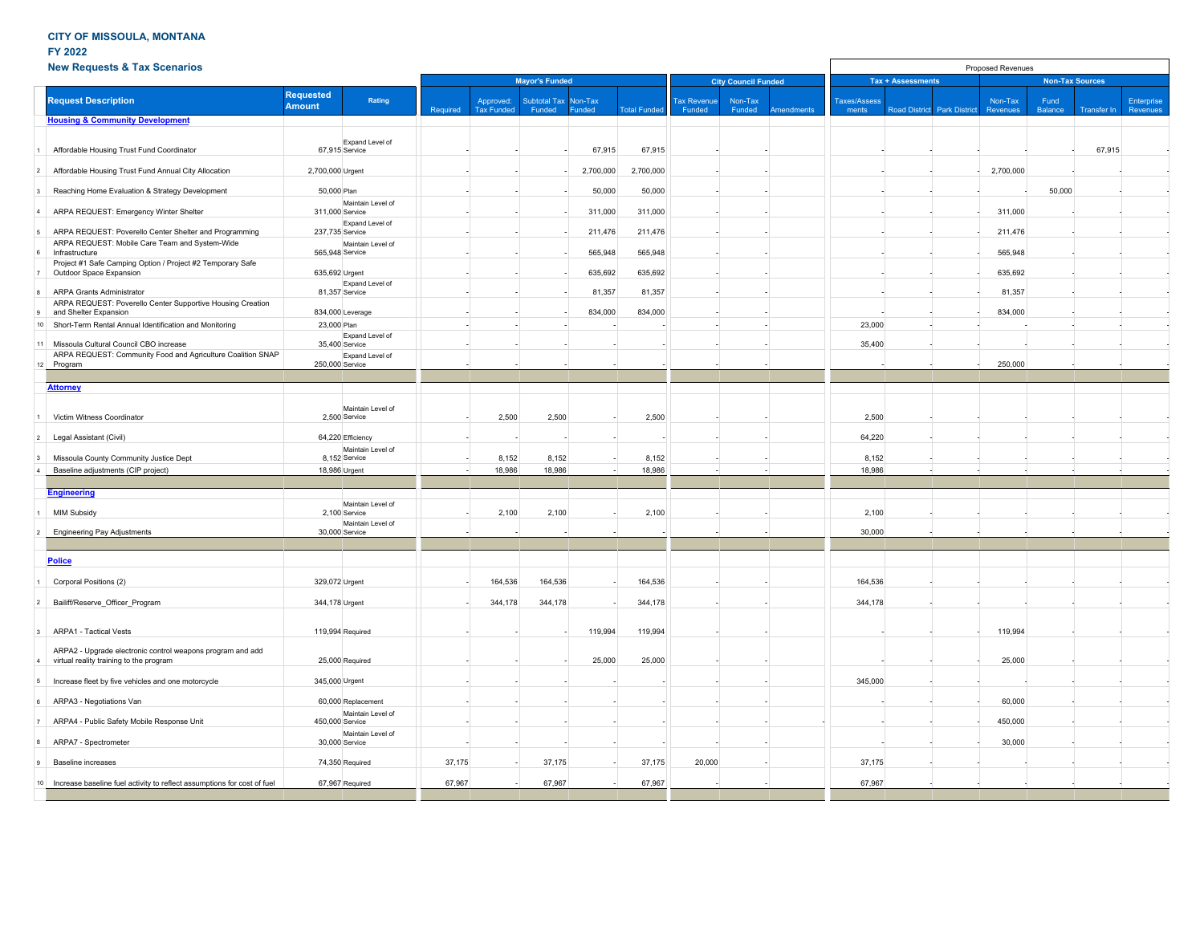## **FY 2022**

|                | <b>New Requests &amp; Tax Scenarios</b>                                             |                                   |                    |          |                                |                               |                   |                     |                              | Proposed Revenues          |            |                              |                          |                      |                     |                 |                        |                        |  |  |  |  |  |  |
|----------------|-------------------------------------------------------------------------------------|-----------------------------------|--------------------|----------|--------------------------------|-------------------------------|-------------------|---------------------|------------------------------|----------------------------|------------|------------------------------|--------------------------|----------------------|---------------------|-----------------|------------------------|------------------------|--|--|--|--|--|--|
|                |                                                                                     |                                   |                    |          |                                | <b>Mayor's Funded</b>         |                   |                     |                              | <b>City Council Funded</b> |            |                              | <b>Tax + Assessments</b> |                      |                     |                 | <b>Non-Tax Sources</b> |                        |  |  |  |  |  |  |
|                | <b>Request Description</b>                                                          | <b>Requested</b><br><b>Amount</b> | Rating             | Required | Approved:<br><b>Tax Funded</b> | <b>Subtotal Tax</b><br>Funded | Non-Tax<br>Funded | <b>Total Funded</b> | <b>Tax Revenue</b><br>Funded | Non-Tax<br>Funded          | Amendments | <b>Taxes/Assess</b><br>ments | <b>Road District</b>     | <b>Park District</b> | Non-Tax<br>Revenues | Fund<br>Balance | Transfer In            | Enterprise<br>Revenues |  |  |  |  |  |  |
|                | <b>Housing &amp; Community Development</b>                                          |                                   |                    |          |                                |                               |                   |                     |                              |                            |            |                              |                          |                      |                     |                 |                        |                        |  |  |  |  |  |  |
|                |                                                                                     |                                   |                    |          |                                |                               |                   |                     |                              |                            |            |                              |                          |                      |                     |                 |                        |                        |  |  |  |  |  |  |
|                | Affordable Housing Trust Fund Coordinator                                           | 67,915 Service                    | Expand Level of    |          |                                |                               | 67,915            | 67,915              |                              |                            |            |                              |                          |                      |                     |                 | 67,915                 |                        |  |  |  |  |  |  |
| $\overline{2}$ | Affordable Housing Trust Fund Annual City Allocation                                | 2,700,000 Urgent                  |                    |          |                                |                               | 2,700,000         | 2,700,000           |                              |                            |            |                              |                          |                      | 2,700,000           |                 |                        |                        |  |  |  |  |  |  |
|                | Reaching Home Evaluation & Strategy Development                                     | 50,000 Plan                       |                    |          |                                |                               | 50,000            | 50,000              |                              |                            |            |                              |                          |                      |                     | 50,000          |                        |                        |  |  |  |  |  |  |
| $\overline{a}$ | ARPA REQUEST: Emergency Winter Shelter                                              | 311,000 Service                   | Maintain Level of  |          |                                |                               | 311,000           | 311,000             |                              |                            |            |                              |                          |                      | 311,000             |                 |                        |                        |  |  |  |  |  |  |
| 5              | ARPA REQUEST: Poverello Center Shelter and Programming                              | 237,735 Service                   | Expand Level of    |          |                                |                               | 211,476           | 211,476             |                              |                            |            |                              |                          |                      | 211,476             |                 |                        |                        |  |  |  |  |  |  |
|                | ARPA REQUEST: Mobile Care Team and System-Wide                                      |                                   | Maintain Level of  |          |                                |                               |                   |                     |                              |                            |            |                              |                          |                      |                     |                 |                        |                        |  |  |  |  |  |  |
| 6              | Infrastructure<br>Project #1 Safe Camping Option / Project #2 Temporary Safe        | 565,948 Service                   |                    |          |                                |                               | 565,948           | 565,948             |                              |                            |            |                              |                          |                      | 565,948             |                 |                        |                        |  |  |  |  |  |  |
|                | Outdoor Space Expansion                                                             | 635,692 Urgent                    | Expand Level of    |          |                                |                               | 635,692           | 635,692             |                              |                            |            |                              |                          |                      | 635,692             |                 |                        |                        |  |  |  |  |  |  |
| 8              | <b>ARPA Grants Administrator</b>                                                    | 81,357 Service                    |                    |          |                                |                               | 81,357            | 81,357              |                              |                            |            |                              |                          |                      | 81,357              |                 |                        |                        |  |  |  |  |  |  |
|                | ARPA REQUEST: Poverello Center Supportive Housing Creation<br>and Shelter Expansion | 834,000 Leverage                  |                    |          |                                |                               | 834,000           | 834,000             |                              |                            |            |                              |                          |                      | 834,000             |                 |                        |                        |  |  |  |  |  |  |
|                | 10 Short-Term Rental Annual Identification and Monitoring                           | 23,000 Plan                       |                    |          |                                |                               |                   |                     |                              |                            |            | 23,000                       |                          |                      |                     |                 |                        |                        |  |  |  |  |  |  |
| 11             | Missoula Cultural Council CBO increase                                              | 35,400 Service                    | Expand Level of    |          |                                |                               |                   |                     |                              |                            |            | 35,400                       |                          |                      |                     |                 |                        |                        |  |  |  |  |  |  |
|                | ARPA REQUEST: Community Food and Agriculture Coalition SNAP<br>12 Program           | 250,000 Service                   | Expand Level of    |          |                                |                               |                   |                     |                              |                            |            |                              |                          |                      | 250,000             |                 |                        |                        |  |  |  |  |  |  |
|                |                                                                                     |                                   |                    |          |                                |                               |                   |                     |                              |                            |            |                              |                          |                      |                     |                 |                        |                        |  |  |  |  |  |  |
|                | <b>Attorney</b>                                                                     |                                   |                    |          |                                |                               |                   |                     |                              |                            |            |                              |                          |                      |                     |                 |                        |                        |  |  |  |  |  |  |
|                | Victim Witness Coordinator                                                          | 2,500 Service                     | Maintain Level of  |          | 2,500                          | 2,500                         |                   | 2,500               |                              |                            |            | 2,500                        |                          |                      |                     |                 |                        |                        |  |  |  |  |  |  |
| $\overline{2}$ | Legal Assistant (Civil)                                                             | 64,220 Efficiency                 |                    |          |                                |                               |                   |                     |                              |                            |            | 64,220                       |                          |                      |                     |                 |                        |                        |  |  |  |  |  |  |
|                |                                                                                     |                                   | Maintain Level of  |          |                                |                               |                   |                     |                              |                            |            |                              |                          |                      |                     |                 |                        |                        |  |  |  |  |  |  |
|                | Missoula County Community Justice Dept<br>Baseline adjustments (CIP project)        | 8,152 Service<br>18,986 Urgent    |                    |          | 8,152<br>18,986                | 8,152<br>18,986               |                   | 8,152<br>18,986     |                              |                            |            | 8,152<br>18,986              |                          |                      |                     |                 |                        |                        |  |  |  |  |  |  |
|                |                                                                                     |                                   |                    |          |                                |                               |                   |                     |                              |                            |            |                              |                          |                      |                     |                 |                        |                        |  |  |  |  |  |  |
|                | <b>Engineering</b>                                                                  |                                   |                    |          |                                |                               |                   |                     |                              |                            |            |                              |                          |                      |                     |                 |                        |                        |  |  |  |  |  |  |
|                | <b>MIM Subsidy</b>                                                                  | 2,100 Service                     | Maintain Level of  |          | 2,100                          | 2,100                         |                   | 2,100               |                              |                            |            | 2,100                        |                          |                      |                     |                 |                        |                        |  |  |  |  |  |  |
|                |                                                                                     | 30,000 Service                    | Maintain Level of  |          |                                |                               |                   |                     |                              |                            |            |                              |                          |                      |                     |                 |                        |                        |  |  |  |  |  |  |
|                | <b>Engineering Pay Adjustments</b>                                                  |                                   |                    |          |                                |                               |                   |                     |                              |                            |            | 30,000                       |                          |                      |                     |                 |                        |                        |  |  |  |  |  |  |
|                | <b>Police</b>                                                                       |                                   |                    |          |                                |                               |                   |                     |                              |                            |            |                              |                          |                      |                     |                 |                        |                        |  |  |  |  |  |  |
|                |                                                                                     |                                   |                    |          |                                |                               |                   |                     |                              |                            |            |                              |                          |                      |                     |                 |                        |                        |  |  |  |  |  |  |
|                | Corporal Positions (2)                                                              | 329,072 Urgent                    |                    |          | 164,536                        | 164,536                       |                   | 164,536             |                              |                            |            | 164,536                      |                          |                      |                     |                 |                        |                        |  |  |  |  |  |  |
| $\overline{2}$ | Bailiff/Reserve Officer Program                                                     | 344,178 Urgent                    |                    |          | 344,178                        | 344,178                       |                   | 344,178             |                              |                            |            | 344,178                      |                          |                      |                     |                 |                        |                        |  |  |  |  |  |  |
| 3              | <b>ARPA1 - Tactical Vests</b>                                                       | 119,994 Required                  |                    |          |                                |                               | 119,994           | 119,994             |                              |                            |            |                              |                          |                      | 119,994             |                 |                        |                        |  |  |  |  |  |  |
|                | ARPA2 - Upgrade electronic control weapons program and add                          |                                   |                    |          |                                |                               |                   |                     |                              |                            |            |                              |                          |                      |                     |                 |                        |                        |  |  |  |  |  |  |
|                | virtual reality training to the program                                             | 25,000 Required                   |                    |          |                                |                               | 25,000            | 25,000              |                              |                            |            |                              |                          |                      | 25,000              |                 |                        |                        |  |  |  |  |  |  |
| 5              | Increase fleet by five vehicles and one motorcycle                                  | 345,000 Urgent                    |                    |          |                                |                               |                   |                     |                              |                            |            | 345,000                      |                          |                      |                     |                 |                        |                        |  |  |  |  |  |  |
| 6              | ARPA3 - Negotiations Van                                                            |                                   | 60,000 Replacement |          |                                |                               |                   |                     |                              |                            |            |                              |                          |                      | 60,000              |                 |                        |                        |  |  |  |  |  |  |
|                | ARPA4 - Public Safety Mobile Response Unit                                          | 450,000 Service                   | Maintain Level of  |          |                                |                               |                   |                     |                              |                            |            |                              |                          |                      | 450,000             |                 |                        |                        |  |  |  |  |  |  |
|                | ARPA7 - Spectrometer                                                                | 30,000 Service                    | Maintain Level of  |          |                                |                               |                   |                     |                              |                            |            |                              |                          |                      | 30,000              |                 |                        |                        |  |  |  |  |  |  |
|                | <b>Baseline increases</b>                                                           | 74,350 Required                   |                    | 37,175   |                                | 37,175                        |                   | 37,175              | 20,000                       |                            |            | 37,175                       |                          |                      |                     |                 |                        |                        |  |  |  |  |  |  |
|                |                                                                                     |                                   |                    |          |                                |                               |                   |                     |                              |                            |            |                              |                          |                      |                     |                 |                        |                        |  |  |  |  |  |  |
|                | 10 Increase baseline fuel activity to reflect assumptions for cost of fuel          | 67,967 Required                   |                    | 67,967   |                                | 67,967                        |                   | 67,967              |                              |                            |            | 67,967                       |                          |                      |                     |                 |                        |                        |  |  |  |  |  |  |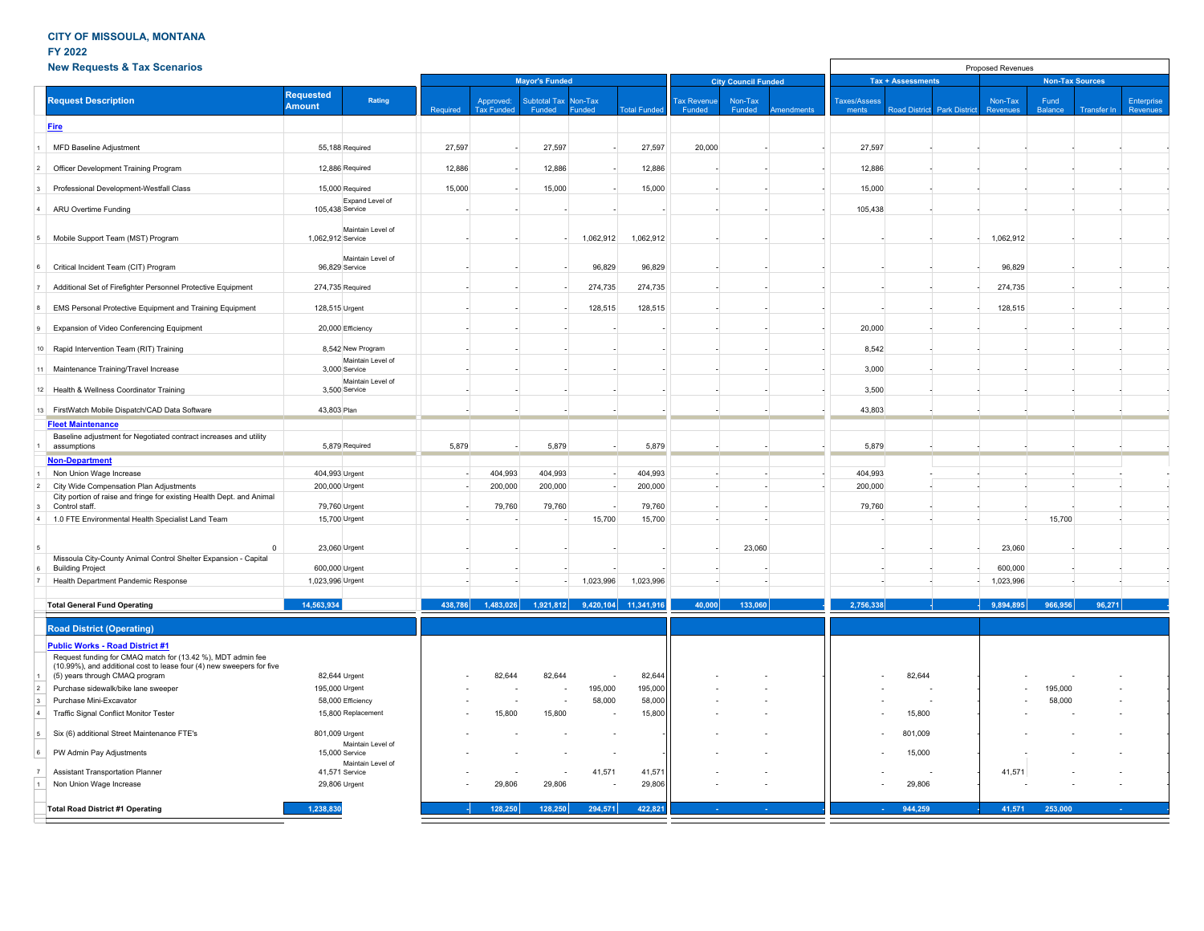## **FY 2022**

|                | <b>New Requests &amp; Tax Scenarios</b>                                                                                                                                        |                                   |                                                         |          |                                |                               |                          |                                    |                              | Proposed Revenues          |            |                              |                          |                                    |                     |                        |                    |                        |
|----------------|--------------------------------------------------------------------------------------------------------------------------------------------------------------------------------|-----------------------------------|---------------------------------------------------------|----------|--------------------------------|-------------------------------|--------------------------|------------------------------------|------------------------------|----------------------------|------------|------------------------------|--------------------------|------------------------------------|---------------------|------------------------|--------------------|------------------------|
|                |                                                                                                                                                                                |                                   |                                                         |          |                                | <b>Mayor's Funded</b>         |                          |                                    |                              | <b>City Council Funded</b> |            |                              | <b>Tax + Assessments</b> |                                    |                     | <b>Non-Tax Sources</b> |                    |                        |
|                | <b>Request Description</b>                                                                                                                                                     | <b>Requested</b><br><b>Amount</b> | Rating                                                  | Required | Approved:<br><b>Tax Funded</b> | <b>Subtotal Tax</b><br>Funded | Non-Tax<br>Funded        | <b>Total Funder</b>                | <b>Tax Revenue</b><br>Funded | Non-Tax<br>Funded          | Amendments | <b>Taxes/Assess</b><br>ments |                          | <b>Road District Park District</b> | Non-Tax<br>Revenues | Fund<br><b>Balance</b> | <b>Transfer In</b> | Enterprise<br>Revenues |
|                | <b>Fire</b>                                                                                                                                                                    |                                   |                                                         |          |                                |                               |                          |                                    |                              |                            |            |                              |                          |                                    |                     |                        |                    |                        |
|                | MFD Baseline Adjustment                                                                                                                                                        |                                   | 55,188 Required                                         | 27,597   |                                | 27,597                        |                          | 27,597                             | 20,000                       |                            |            | 27,597                       |                          |                                    |                     |                        |                    |                        |
| $\overline{2}$ | Officer Development Training Program                                                                                                                                           |                                   | 12,886 Required                                         | 12,886   |                                | 12,886                        |                          | 12,886                             |                              |                            |            | 12,886                       |                          |                                    |                     |                        |                    |                        |
|                | Professional Development-Westfall Class                                                                                                                                        |                                   | 15,000 Required                                         | 15,000   |                                | 15,000                        |                          | 15,000                             |                              |                            |            | 15,000                       |                          |                                    |                     |                        |                    |                        |
|                | ARU Overtime Funding                                                                                                                                                           | 105,438 Service                   | Expand Level of                                         |          |                                |                               |                          |                                    |                              |                            |            | 105,438                      |                          |                                    |                     |                        |                    |                        |
| 5              | Mobile Support Team (MST) Program                                                                                                                                              | 1,062,912 Service                 | Maintain Level of                                       |          |                                |                               | 1,062,912                | 1,062,912                          |                              |                            |            |                              |                          |                                    | 1,062,912           |                        |                    |                        |
| 6              | Critical Incident Team (CIT) Program                                                                                                                                           |                                   | Maintain Level of<br>96,829 Service                     |          |                                |                               | 96,829                   | 96,829                             |                              |                            |            |                              |                          |                                    | 96,829              |                        |                    |                        |
| 7              | Additional Set of Firefighter Personnel Protective Equipment                                                                                                                   |                                   | 274,735 Required                                        |          |                                |                               | 274,735                  | 274,735                            |                              |                            |            |                              |                          |                                    | 274,735             |                        |                    |                        |
| $\mathbf{a}$   | EMS Personal Protective Equipment and Training Equipment                                                                                                                       | 128,515 Urgent                    |                                                         |          |                                |                               | 128,515                  | 128,515                            |                              |                            |            |                              |                          |                                    | 128,515             |                        |                    |                        |
| <u>9</u>       | Expansion of Video Conferencing Equipment                                                                                                                                      |                                   | 20,000 Efficiency                                       |          |                                |                               |                          |                                    |                              |                            |            | 20,000                       |                          |                                    |                     |                        |                    |                        |
|                | 10 Rapid Intervention Team (RIT) Training                                                                                                                                      |                                   | 8,542 New Program                                       |          |                                |                               |                          |                                    |                              |                            |            | 8,542                        |                          |                                    |                     |                        |                    |                        |
|                | 11 Maintenance Training/Travel Increase                                                                                                                                        |                                   | Maintain Level of<br>3,000 Service<br>Maintain Level of |          |                                |                               |                          |                                    |                              |                            |            | 3,000                        |                          |                                    |                     |                        |                    |                        |
|                | 12 Health & Wellness Coordinator Training                                                                                                                                      |                                   | 3,500 Service                                           |          |                                |                               |                          |                                    |                              |                            |            | 3,500                        |                          |                                    |                     |                        |                    |                        |
|                | 13 FirstWatch Mobile Dispatch/CAD Data Software                                                                                                                                | 43,803 Plan                       |                                                         |          |                                |                               |                          |                                    |                              |                            |            | 43,803                       |                          |                                    |                     |                        |                    |                        |
|                | <b>Fleet Maintenance</b>                                                                                                                                                       |                                   |                                                         |          |                                |                               |                          |                                    |                              |                            |            |                              |                          |                                    |                     |                        |                    |                        |
|                | Baseline adjustment for Negotiated contract increases and utility<br>assumptions                                                                                               |                                   | 5,879 Required                                          | 5,879    |                                | 5,879                         |                          | 5,879                              |                              |                            |            | 5,879                        |                          |                                    |                     |                        |                    |                        |
|                | <b>Non-Department</b>                                                                                                                                                          |                                   |                                                         |          |                                |                               |                          |                                    |                              |                            |            |                              |                          |                                    |                     |                        |                    |                        |
|                | 1 Non Union Wage Increase                                                                                                                                                      | 404,993 Urgent                    |                                                         |          | 404,993                        | 404,993                       |                          | 404,993                            |                              |                            |            | 404,993                      |                          |                                    |                     |                        |                    |                        |
| $\vert$ 2      | City Wide Compensation Plan Adjustments                                                                                                                                        | 200,000 Urgent                    |                                                         |          | 200,000                        | 200,000                       |                          | 200,000                            |                              |                            |            | 200,000                      |                          |                                    |                     |                        |                    |                        |
|                | City portion of raise and fringe for existing Health Dept. and Animal<br>Control staff.                                                                                        |                                   | 79,760 Urgent                                           |          | 79,760                         | 79,760                        |                          | 79,760                             |                              |                            |            | 79,760                       |                          |                                    |                     |                        |                    |                        |
|                | 4 1.0 FTE Environmental Health Specialist Land Team                                                                                                                            |                                   | 15,700 Urgent                                           |          |                                |                               | 15,700                   | 15,700                             |                              |                            |            |                              |                          |                                    |                     | 15,700                 |                    |                        |
| 5              | $\Omega$                                                                                                                                                                       | 23,060 Urgent                     |                                                         |          |                                |                               |                          |                                    |                              | 23,060                     |            |                              |                          |                                    | 23,060              |                        |                    |                        |
| 6              | Missoula City-County Animal Control Shelter Expansion - Capital<br><b>Building Project</b>                                                                                     | 600,000 Urgent                    |                                                         |          |                                |                               |                          |                                    |                              |                            |            |                              |                          |                                    | 600,000             |                        |                    |                        |
| $\overline{7}$ | Health Department Pandemic Response                                                                                                                                            | 1,023,996 Urgent                  |                                                         |          |                                |                               | 1,023,996                | 1,023,996                          |                              |                            |            |                              |                          |                                    | 1,023,996           |                        |                    |                        |
|                | <b>Total General Fund Operating</b>                                                                                                                                            | 14,563,934                        |                                                         | 438,786  | 1,483,026                      |                               |                          | $1,921,812$ $9,420,104$ 11,341,916 | 40,000                       | 133,060                    |            | 2,756,338                    |                          |                                    | 9,894,895           | 966,956                | 96,271             |                        |
|                | <b>Road District (Operating)</b>                                                                                                                                               |                                   |                                                         |          |                                |                               |                          |                                    |                              |                            |            |                              |                          |                                    |                     |                        |                    |                        |
|                | <b>Public Works - Road District #1</b><br>Request funding for CMAQ match for (13.42 %), MDT admin fee<br>(10.99%), and additional cost to lease four (4) new sweepers for five |                                   |                                                         |          |                                |                               |                          |                                    |                              |                            |            |                              |                          |                                    |                     |                        |                    |                        |
|                | (5) years through CMAQ program                                                                                                                                                 |                                   | 82,644 Urgent                                           |          | 82,644                         | 82,644                        | $\overline{\phantom{a}}$ | 82,644                             |                              |                            |            |                              | 82,644                   |                                    |                     |                        |                    |                        |
|                | Purchase sidewalk/bike lane sweeper                                                                                                                                            | 195,000 Urgent                    |                                                         |          |                                |                               | 195,000                  | 195,000                            |                              |                            |            |                              |                          |                                    |                     | 195,000                |                    |                        |
|                | Purchase Mini-Excavator<br>Traffic Signal Conflict Monitor Tester                                                                                                              |                                   | 58,000 Efficiency<br>15,800 Replacement                 |          | 15,800                         | ÷.<br>15,800                  | 58,000                   | 58,000<br>15,800                   |                              |                            |            |                              | 15,800                   |                                    |                     | 58,000                 |                    |                        |
|                | Six (6) additional Street Maintenance FTE's                                                                                                                                    | 801,009 Urgent                    |                                                         |          |                                |                               |                          |                                    |                              |                            |            |                              | 801,009                  |                                    |                     |                        |                    |                        |
|                | PW Admin Pay Adjustments                                                                                                                                                       |                                   | Maintain Level of<br>15,000 Service                     |          |                                |                               |                          |                                    |                              |                            |            |                              | 15,000                   |                                    |                     |                        |                    |                        |
|                | <b>Assistant Transportation Planner</b>                                                                                                                                        | 41,571 Service                    | Maintain Level of                                       |          |                                |                               | 41,571                   | 41,571                             |                              |                            |            |                              |                          |                                    | 41,571              |                        |                    |                        |
|                | Non Union Wage Increase                                                                                                                                                        | 29,806 Urgent                     |                                                         |          | 29,806                         | 29,806                        |                          | 29,806                             |                              |                            |            |                              | 29,806                   |                                    |                     |                        |                    |                        |
|                | <b>Total Road District #1 Operating</b>                                                                                                                                        | 1,238,830                         |                                                         |          | 128,250                        | 128,250                       | 294,571                  | 422,821                            |                              |                            |            |                              | 944.259                  |                                    | 41,571              | 253,000                |                    |                        |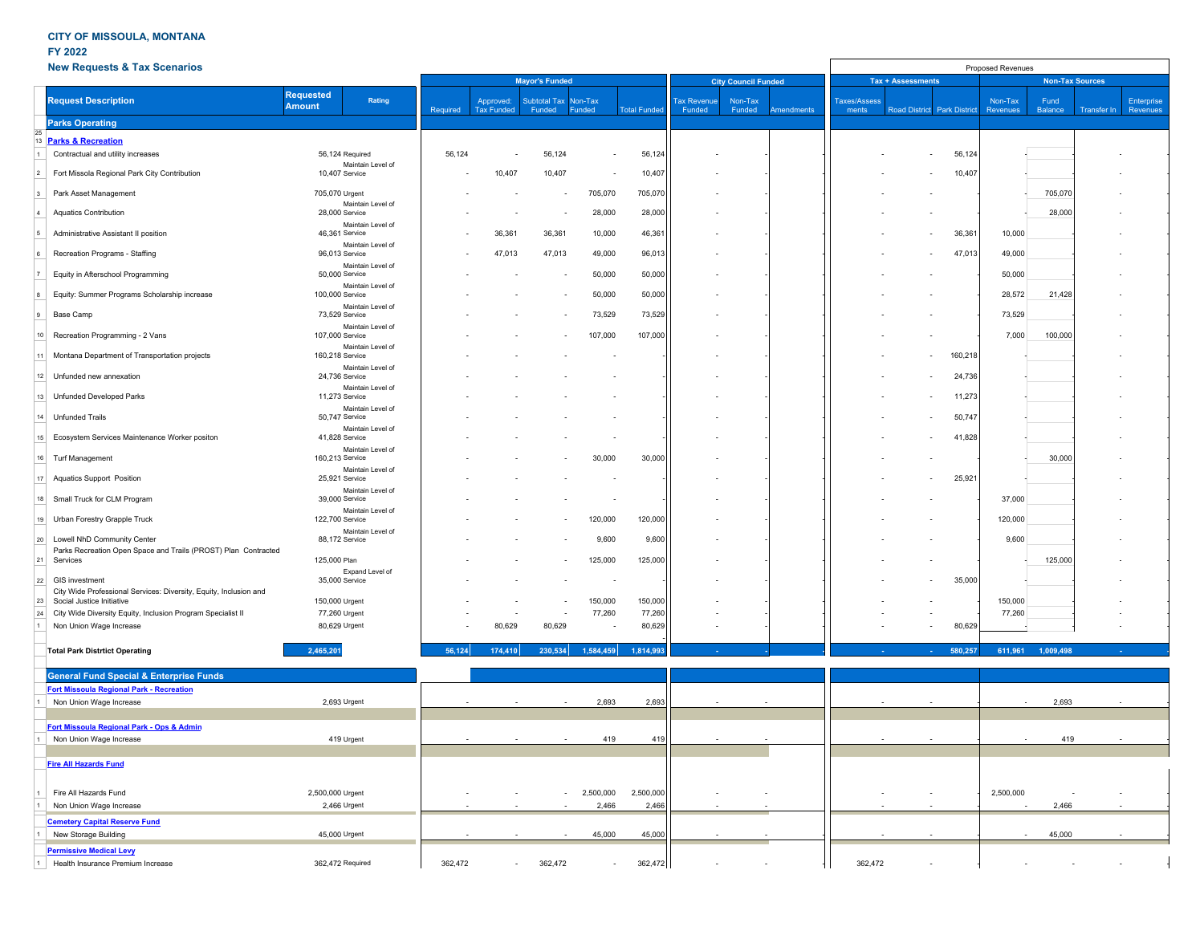### **FY 2022**

**Cemetery Capital Reserve Fund**

**Permissive Medical Levy** 

|    | <b>New Requests &amp; Tax Scenarios</b>                                                        |                                             |          |                                |                               |                   |                     | Proposed Revenues            |                   |                   |                              |  |                             |                        |                 |             |                        |  |
|----|------------------------------------------------------------------------------------------------|---------------------------------------------|----------|--------------------------------|-------------------------------|-------------------|---------------------|------------------------------|-------------------|-------------------|------------------------------|--|-----------------------------|------------------------|-----------------|-------------|------------------------|--|
|    |                                                                                                |                                             |          | <b>Mayor's Funded</b>          |                               |                   |                     | <b>City Council Funded</b>   |                   |                   | <b>Tax + Assessments</b>     |  |                             | <b>Non-Tax Sources</b> |                 |             |                        |  |
|    | <b>Request Description</b>                                                                     | <b>Requested</b><br>Rating<br><b>Amount</b> | Required | Approved:<br><b>Tax Funded</b> | <b>Subtotal Tax</b><br>Funded | Non-Tax<br>Funded | <b>Total Funded</b> | <b>Tax Revenue</b><br>Funded | Non-Tax<br>Funded | <b>Amendments</b> | <b>Taxes/Assess</b><br>ments |  | Road District Park District | Non-Tax<br>Revenues    | Fund<br>Balance | Transfer In | Enterprise<br>Revenues |  |
|    | <b>Parks Operating</b>                                                                         |                                             |          |                                |                               |                   |                     |                              |                   |                   |                              |  |                             |                        |                 |             |                        |  |
|    | <b>Parks &amp; Recreation</b>                                                                  |                                             |          |                                |                               |                   |                     |                              |                   |                   |                              |  |                             |                        |                 |             |                        |  |
|    | Contractual and utility increases                                                              | 56,124 Required                             | 56,124   |                                | 56,124                        |                   | 56,124              |                              |                   |                   |                              |  | 56,124                      |                        |                 |             |                        |  |
|    |                                                                                                | Maintain Level of                           |          |                                |                               |                   |                     |                              |                   |                   |                              |  |                             |                        |                 |             |                        |  |
|    | Fort Missola Regional Park City Contribution                                                   | 10,407 Service                              |          | 10,407                         | 10,407                        |                   | 10,407              |                              |                   |                   |                              |  | 10,407                      |                        |                 |             |                        |  |
|    | Park Asset Management                                                                          | 705,070 Urgent<br>Maintain Level of         |          |                                |                               | 705,070           | 705,070             |                              |                   |                   |                              |  |                             |                        | 705,070         |             |                        |  |
|    | Aquatics Contribution                                                                          | 28,000 Service                              |          |                                |                               | 28,000            | 28,000              |                              |                   |                   |                              |  |                             |                        | 28,000          |             |                        |  |
|    | Administrative Assistant II position                                                           | Maintain Level of<br>46,361 Service         |          | 36,361                         | 36,361                        | 10,000            | 46,361              |                              |                   |                   |                              |  | 36,361                      | 10,000                 |                 |             |                        |  |
|    | Recreation Programs - Staffing                                                                 | Maintain Level of<br>96,013 Service         |          | 47,013                         | 47,013                        | 49,000            | 96,013              |                              |                   |                   |                              |  | 47,013                      | 49,000                 |                 |             |                        |  |
|    | Equity in Afterschool Programming                                                              | Maintain Level of<br>50,000 Service         |          |                                |                               | 50,000            | 50,000              |                              |                   |                   |                              |  |                             | 50,000                 |                 |             |                        |  |
|    | Equity: Summer Programs Scholarship increase                                                   | Maintain Level of<br>100,000 Service        |          |                                |                               | 50,000            | 50,000              |                              |                   |                   |                              |  |                             | 28,572                 | 21,428          |             |                        |  |
|    | Base Camp                                                                                      | Maintain Level of<br>73,529 Service         |          |                                |                               | 73,529            | 73,529              |                              |                   |                   |                              |  |                             | 73,529                 |                 |             |                        |  |
| 10 | Recreation Programming - 2 Vans                                                                | Maintain Level of<br>107,000 Service        |          |                                |                               | 107,000           | 107,000             |                              |                   |                   |                              |  |                             | 7,000                  | 100,000         |             |                        |  |
| 11 | Montana Department of Transportation projects                                                  | Maintain Level of<br>160,218 Service        |          |                                |                               |                   |                     |                              |                   |                   |                              |  | 160,218<br>$\sim$           |                        |                 |             |                        |  |
| 12 | Unfunded new annexation                                                                        | Maintain Level of<br>24,736 Service         |          |                                |                               |                   |                     |                              |                   |                   |                              |  | 24,736<br>$\sim$            |                        |                 |             |                        |  |
| 13 | Unfunded Developed Parks                                                                       | Maintain Level of                           |          |                                |                               |                   |                     |                              |                   |                   |                              |  | 11,273                      |                        |                 |             |                        |  |
|    |                                                                                                | 11,273 Service<br>Maintain Level of         |          |                                |                               |                   |                     |                              |                   |                   |                              |  |                             |                        |                 |             |                        |  |
| 14 | Unfunded Trails                                                                                | 50,747 Service<br>Maintain Level of         |          |                                |                               |                   |                     |                              |                   |                   |                              |  | 50,747                      |                        |                 |             |                        |  |
| 15 | Ecosystem Services Maintenance Worker positon                                                  | 41,828 Service<br>Maintain Level of         |          |                                |                               |                   |                     |                              |                   |                   |                              |  | 41,828                      |                        |                 |             |                        |  |
| 16 | <b>Turf Management</b>                                                                         | 160,213 Service<br>Maintain Level of        |          |                                |                               | 30,000            | 30,000              |                              |                   |                   |                              |  |                             |                        | 30,000          |             |                        |  |
| 17 | <b>Aquatics Support Position</b>                                                               | 25,921 Service<br>Maintain Level of         |          |                                |                               |                   |                     |                              |                   |                   |                              |  | 25,921                      |                        |                 |             |                        |  |
| 18 | Small Truck for CLM Program                                                                    | 39,000 Service<br>Maintain Level of         |          |                                |                               |                   |                     |                              |                   |                   |                              |  |                             | 37,000                 |                 |             |                        |  |
| 19 | Urban Forestry Grapple Truck                                                                   | 122,700 Service<br>Maintain Level of        |          |                                |                               | 120,000           | 120,000             |                              |                   |                   |                              |  |                             | 120,000                |                 |             |                        |  |
| 20 | Lowell NhD Community Center<br>Parks Recreation Open Space and Trails (PROST) Plan Contracted  | 88,172 Service                              |          |                                |                               | 9,600             | 9,600               |                              |                   |                   |                              |  |                             | 9,600                  |                 |             |                        |  |
| 21 | Services                                                                                       | 125,000 Plan                                |          |                                |                               | 125,000           | 125,000             |                              |                   |                   |                              |  |                             |                        | 125,000         |             |                        |  |
| 22 | GIS investment                                                                                 | Expand Level of<br>35,000 Service           |          |                                |                               |                   |                     |                              |                   |                   |                              |  | 35,000                      |                        |                 |             |                        |  |
|    | City Wide Professional Services: Diversity, Equity, Inclusion and<br>Social Justice Initiative | 150,000 Urgent                              |          |                                |                               | 150,000           | 150,000             |                              |                   |                   |                              |  |                             | 150,000                |                 |             |                        |  |
|    | City Wide Diversity Equity, Inclusion Program Specialist II                                    | 77,260 Urgent                               |          |                                |                               | 77,260            | 77,260              |                              |                   |                   |                              |  |                             | 77,260                 |                 |             |                        |  |
|    | Non Union Wage Increase                                                                        | 80,629 Urgent                               |          | 80,629                         | 80,629                        |                   | 80,629              |                              |                   |                   |                              |  | 80,629                      |                        |                 |             |                        |  |
|    | <b>Total Park Distrtict Operating</b>                                                          | 2,465,201                                   | 56,124   | 174,410                        | 230,534                       | 1,584,459         | 1,814,993           |                              |                   |                   |                              |  | 580,257                     | 611,961                | 1,009,498       |             |                        |  |
|    | <b>General Fund Special &amp; Enterprise Funds</b>                                             |                                             |          |                                |                               |                   |                     |                              |                   |                   |                              |  |                             |                        |                 |             |                        |  |
|    | <b>Fort Missoula Regional Park - Recreation</b>                                                |                                             |          |                                |                               |                   |                     |                              |                   |                   |                              |  |                             |                        |                 |             |                        |  |
|    | Non Union Wage Increase                                                                        | 2,693 Urgent                                |          |                                |                               | 2,693             | 2,693               |                              |                   |                   |                              |  |                             |                        | 2,693           |             |                        |  |
|    | Fort Missoula Regional Park - Ops & Admin                                                      |                                             |          |                                |                               |                   |                     |                              |                   |                   |                              |  |                             |                        |                 |             |                        |  |
|    | Non Union Wage Increase                                                                        | 419 Urgent                                  |          |                                |                               | 419               | 419                 |                              |                   |                   |                              |  |                             |                        | 419             |             |                        |  |
|    | <b>Fire All Hazards Fund</b>                                                                   |                                             |          |                                |                               |                   |                     |                              |                   |                   |                              |  |                             |                        |                 |             |                        |  |
|    |                                                                                                |                                             |          |                                |                               |                   |                     |                              |                   |                   |                              |  |                             |                        |                 |             |                        |  |
|    | Fire All Hazards Fund                                                                          | 2,500,000 Urgent                            |          |                                |                               | 2,500,000         | 2,500,000           |                              |                   |                   |                              |  |                             | 2,500,000              |                 |             |                        |  |
|    | Non Union Wage Increase                                                                        | 2,466 Urgent                                |          |                                |                               | 2,466             | 2,466               |                              |                   |                   |                              |  |                             |                        | 2,466           |             |                        |  |

1 New Storage Building 45,000 Urgent - - - 45,000 45,000 - - - - - - - 45,000 - -

1 Health Insurance Premium Increase 362,472 Required 362,472 - 362,472 - 362,472 - - - 362,472 - - - - - -